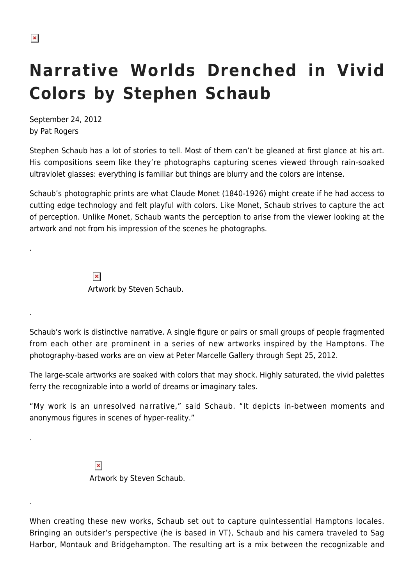.

.

.

.

## **Narrative Worlds Drenched in Vivid Colors by Stephen Schaub**

September 24, 2012 by Pat Rogers

Stephen Schaub has a lot of stories to tell. Most of them can't be gleaned at first glance at his art. His compositions seem like they're photographs capturing scenes viewed through rain-soaked ultraviolet glasses: everything is familiar but things are blurry and the colors are intense.

Schaub's photographic prints are what Claude Monet (1840-1926) might create if he had access to cutting edge technology and felt playful with colors. Like Monet, Schaub strives to capture the act of perception. Unlike Monet, Schaub wants the perception to arise from the viewer looking at the artwork and not from his impression of the scenes he photographs.

> $\pmb{\times}$ Artwork by Steven Schaub.

Schaub's work is distinctive narrative. A single figure or pairs or small groups of people fragmented from each other are prominent in a series of new artworks inspired by the Hamptons. The photography-based works are on view at Peter Marcelle Gallery through Sept 25, 2012.

The large-scale artworks are soaked with colors that may shock. Highly saturated, the vivid palettes ferry the recognizable into a world of dreams or imaginary tales.

"My work is an unresolved narrative," said Schaub. "It depicts in-between moments and anonymous figures in scenes of hyper-reality."

> $\pmb{\times}$ Artwork by Steven Schaub.

When creating these new works, Schaub set out to capture quintessential Hamptons locales. Bringing an outsider's perspective (he is based in VT), Schaub and his camera traveled to Sag Harbor, Montauk and Bridgehampton. The resulting art is a mix between the recognizable and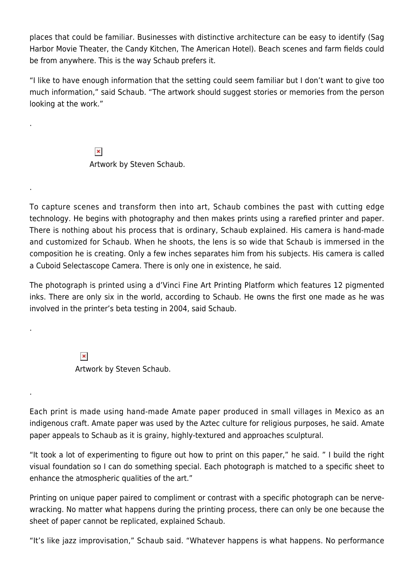places that could be familiar. Businesses with distinctive architecture can be easy to identify (Sag Harbor Movie Theater, the Candy Kitchen, The American Hotel). Beach scenes and farm fields could be from anywhere. This is the way Schaub prefers it.

"I like to have enough information that the setting could seem familiar but I don't want to give too much information," said Schaub. "The artwork should suggest stories or memories from the person looking at the work."

> $\pmb{\times}$ Artwork by Steven Schaub.

.

.

.

.

To capture scenes and transform then into art, Schaub combines the past with cutting edge technology. He begins with photography and then makes prints using a rarefied printer and paper. There is nothing about his process that is ordinary, Schaub explained. His camera is hand-made and customized for Schaub. When he shoots, the lens is so wide that Schaub is immersed in the composition he is creating. Only a few inches separates him from his subjects. His camera is called a Cuboid Selectascope Camera. There is only one in existence, he said.

The photograph is printed using a d'Vinci Fine Art Printing Platform which features 12 pigmented inks. There are only six in the world, according to Schaub. He owns the first one made as he was involved in the printer's beta testing in 2004, said Schaub.

> $\pmb{\times}$ Artwork by Steven Schaub.

Each print is made using hand-made Amate paper produced in small villages in Mexico as an indigenous craft. Amate paper was used by the Aztec culture for religious purposes, he said. Amate paper appeals to Schaub as it is grainy, highly-textured and approaches sculptural.

"It took a lot of experimenting to figure out how to print on this paper," he said. " I build the right visual foundation so I can do something special. Each photograph is matched to a specific sheet to enhance the atmospheric qualities of the art."

Printing on unique paper paired to compliment or contrast with a specific photograph can be nervewracking. No matter what happens during the printing process, there can only be one because the sheet of paper cannot be replicated, explained Schaub.

"It's like jazz improvisation," Schaub said. "Whatever happens is what happens. No performance